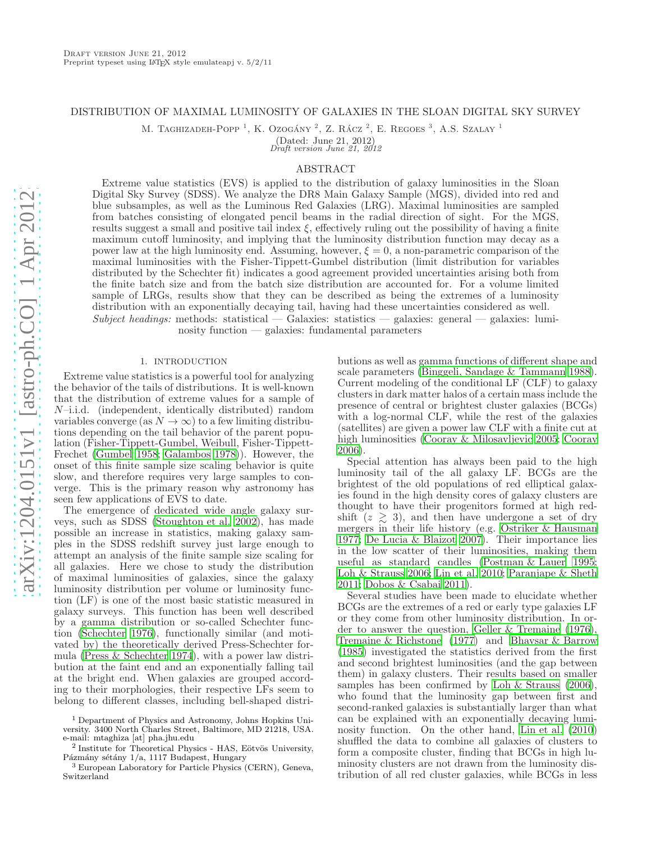# DISTRIBUTION OF MAXIMAL LUMINOSITY OF GALAXIES IN THE SLOAN DIGITAL SKY SURVEY

M. TAGHIZADEH-POPP<sup>1</sup>, K. Ozogány<sup>2</sup>, Z. Rácz<sup>2</sup>, E. Regoes<sup>3</sup>, A.S. Szalay<sup>1</sup>

(Dated: June 21, 2012) Draft version June 21, 2012

### ABSTRACT

Extreme value statistics (EVS) is applied to the distribution of galaxy luminosities in the Sloan Digital Sky Survey (SDSS). We analyze the DR8 Main Galaxy Sample (MGS), divided into red and blue subsamples, as well as the Luminous Red Galaxies (LRG). Maximal luminosities are sampled from batches consisting of elongated pencil beams in the radial direction of sight. For the MGS, results suggest a small and positive tail index  $\xi$ , effectively ruling out the possibility of having a finite maximum cutoff luminosity, and implying that the luminosity distribution function may decay as a power law at the high luminosity end. Assuming, however,  $\xi = 0$ , a non-parametric comparison of the maximal luminosities with the Fisher-Tippett-Gumbel distribution (limit distribution for variables distributed by the Schechter fit) indicates a good agreement provided uncertainties arising both from the finite batch size and from the batch size distribution are accounted for. For a volume limited sample of LRGs, results show that they can be described as being the extremes of a luminosity distribution with an exponentially decaying tail, having had these uncertainties considered as well.  $Subject, the *adings*: methods: statistical — Galaxies: statistics — galaxies: general — galaxies: lumi-$ 

nosity function — galaxies: fundamental parameters

## 1. INTRODUCTION

Extreme value statistics is a powerful tool for analyzing the behavior of the tails of distributions. It is well-known that the distribution of extreme values for a sample of N–i.i.d. (independent, identically distributed) random variables converge (as  $N \to \infty$ ) to a few limiting distributions depending on the tail behavior of the parent population (Fisher-Tippett-Gumbel, Weibull, Fisher-Tippett-Frechet [\(Gumbel 1958;](#page-11-0) [Galambos 1978\)](#page-11-1)). However, the onset of this finite sample size scaling behavior is quite slow, and therefore requires very large samples to converge. This is the primary reason why astronomy has seen few applications of EVS to date.

The emergence of dedicated wide angle galaxy surveys, such as SDSS [\(Stoughton et al. 2002\)](#page-11-2), has made possible an increase in statistics, making galaxy samples in the SDSS redshift survey just large enough to attempt an analysis of the finite sample size scaling for all galaxies. Here we chose to study the distribution of maximal luminosities of galaxies, since the galaxy luminosity distribution per volume or luminosity function (LF) is one of the most basic statistic measured in galaxy surveys. This function has been well described by a gamma distribution or so-called Schechter function [\(Schechter 1976\)](#page-11-3), functionally similar (and motivated by) the theoretically derived Press-Schechter formula [\(Press & Schechter 1974](#page-11-4)), with a power law distribution at the faint end and an exponentially falling tail at the bright end. When galaxies are grouped according to their morphologies, their respective LFs seem to belong to different classes, including bell-shaped distri-

<sup>1</sup> Department of Physics and Astronomy, Johns Hopkins University. 3400 North Charles Street, Baltimore, MD 21218, USA. e-mail: mtaghiza [at] pha.jhu.edu

<sup>2</sup> Institute for Theoretical Physics - HAS, Eötvös University, Pázmány sétány 1/a, 1117 Budapest, Hungary

<sup>3</sup> European Laboratory for Particle Physics (CERN), Geneva, Switzerland

butions as well as gamma functions of different shape and scale parameters [\(Binggeli, Sandage & Tammann 1988](#page-11-5)). Current modeling of the conditional LF (CLF) to galaxy clusters in dark matter halos of a certain mass include the presence of central or brightest cluster galaxies (BCGs) with a log-normal CLF, while the rest of the galaxies (satellites) are given a power law CLF with a finite cut at high luminosities [\(Cooray & Milosavljevic 2005;](#page-11-6) [Cooray](#page-11-7) [2006\)](#page-11-7).

Special attention has always been paid to the high luminosity tail of the all galaxy LF. BCGs are the brightest of the old populations of red elliptical galaxies found in the high density cores of galaxy clusters are thought to have their progenitors formed at high redshift  $(z \ge 3)$ , and then have undergone a set of dry mergers in their life history (e.g. [Ostriker & Hausman](#page-11-8) [1977;](#page-11-8) [De Lucia & Blaizot 2007](#page-11-9)). Their importance lies in the low scatter of their luminosities, making them useful as standard candles [\(Postman & Lauer 1995](#page-11-10); [Loh & Strauss 2006;](#page-11-11) [Lin et al. 2010;](#page-11-12) [Paranjape & Sheth](#page-11-13) [2011;](#page-11-13) [Dobos & Csabai 2011\)](#page-11-14).

Several studies have been made to elucidate whether BCGs are the extremes of a red or early type galaxies LF or they come from other luminosity distribution. In order to answer the question, [Geller & Tremaine \(1976](#page-11-15)), [Tremaine & Richstone \(1977](#page-11-16)) and [Bhavsar & Barrow](#page-11-17) [\(1985\)](#page-11-17) investigated the statistics derived from the first and second brightest luminosities (and the gap between them) in galaxy clusters. Their results based on smaller samples has been confirmed by [Loh & Strauss \(2006](#page-11-11)), who found that the luminosity gap between first and second-ranked galaxies is substantially larger than what can be explained with an exponentially decaying luminosity function. On the other hand, [Lin et al. \(2010](#page-11-12)) shuffled the data to combine all galaxies of clusters to form a composite cluster, finding that BCGs in high luminosity clusters are not drawn from the luminosity distribution of all red cluster galaxies, while BCGs in less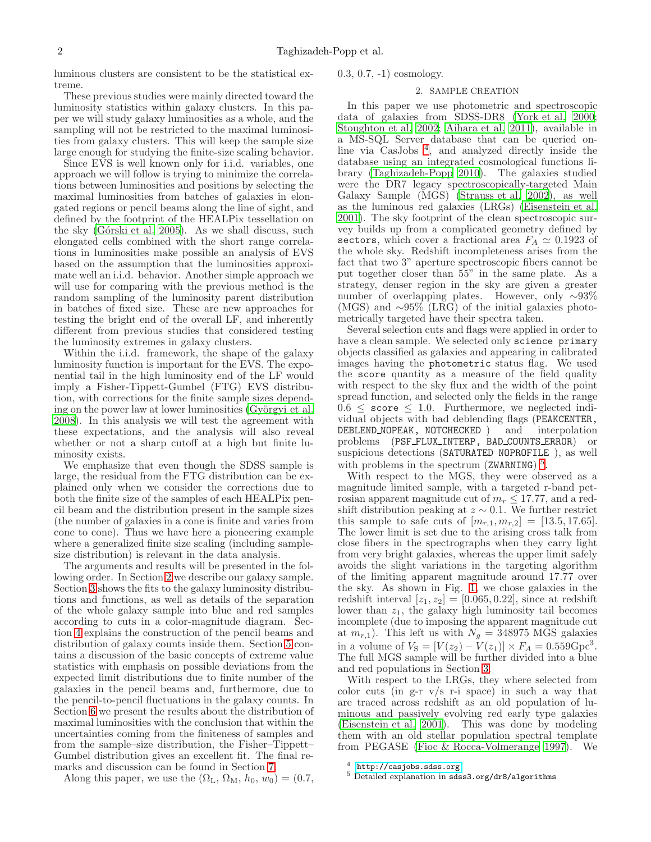luminous clusters are consistent to be the statistical extreme.

These previous studies were mainly directed toward the luminosity statistics within galaxy clusters. In this paper we will study galaxy luminosities as a whole, and the sampling will not be restricted to the maximal luminosities from galaxy clusters. This will keep the sample size large enough for studying the finite-size scaling behavior.

Since EVS is well known only for i.i.d. variables, one approach we will follow is trying to minimize the correlations between luminosities and positions by selecting the maximal luminosities from batches of galaxies in elongated regions or pencil beams along the line of sight, and defined by the footprint of the HEALPix tessellation on the sky (Górski et al. 2005). As we shall discuss, such elongated cells combined with the short range correlations in luminosities make possible an analysis of EVS based on the assumption that the luminosities approximate well an i.i.d. behavior. Another simple approach we will use for comparing with the previous method is the random sampling of the luminosity parent distribution in batches of fixed size. These are new approaches for testing the bright end of the overall LF, and inherently different from previous studies that considered testing the luminosity extremes in galaxy clusters.

Within the i.i.d. framework, the shape of the galaxy luminosity function is important for the EVS. The exponential tail in the high luminosity end of the LF would imply a Fisher-Tippett-Gumbel (FTG) EVS distribution, with corrections for the finite sample sizes depending on the power law at lower luminosities (Györgyi et al. [2008\)](#page-11-19). In this analysis we will test the agreement with these expectations, and the analysis will also reveal whether or not a sharp cutoff at a high but finite luminosity exists.

We emphasize that even though the SDSS sample is large, the residual from the FTG distribution can be explained only when we consider the corrections due to both the finite size of the samples of each HEALPix pencil beam and the distribution present in the sample sizes (the number of galaxies in a cone is finite and varies from cone to cone). Thus we have here a pioneering example where a generalized finite size scaling (including samplesize distribution) is relevant in the data analysis.

The arguments and results will be presented in the following order. In Section [2](#page-1-0) we describe our galaxy sample. Section [3](#page-2-0) shows the fits to the galaxy luminosity distributions and functions, as well as details of the separation of the whole galaxy sample into blue and red samples according to cuts in a color-magnitude diagram. Section [4](#page-4-0) explains the construction of the pencil beams and distribution of galaxy counts inside them. Section [5](#page-5-0) contains a discussion of the basic concepts of extreme value statistics with emphasis on possible deviations from the expected limit distributions due to finite number of the galaxies in the pencil beams and, furthermore, due to the pencil-to-pencil fluctuations in the galaxy counts. In Section [6](#page-8-0) we present the results about the distribution of maximal luminosities with the conclusion that within the uncertainties coming from the finiteness of samples and from the sample–size distribution, the Fisher–Tippett– Gumbel distribution gives an excellent fit. The final remarks and discussion can be found in Section [7.](#page-10-0)

<span id="page-1-0"></span>0.3, 0.7, -1) cosmology.

### 2. SAMPLE CREATION

In this paper we use photometric and spectroscopic data of galaxies from SDSS-DR8 [\(York et al. 2000](#page-11-20); [Stoughton et al. 2002;](#page-11-2) [Aihara et al. 2011\)](#page-11-21), available in a MS-SQL Server database that can be queried online via CasJobs [4](#page-1-1) , and analyzed directly inside the database using an integrated cosmological functions library [\(Taghizadeh-Popp 2010](#page-11-22)). The galaxies studied were the DR7 legacy spectroscopically-targeted Main Galaxy Sample (MGS) [\(Strauss et al. 2002\)](#page-11-23), as well as the luminous red galaxies (LRGs) [\(Eisenstein et al.](#page-11-24) [2001\)](#page-11-24). The sky footprint of the clean spectroscopic survey builds up from a complicated geometry defined by sectors, which cover a fractional area  $F_A \simeq 0.1923$  of the whole sky. Redshift incompleteness arises from the fact that two 3" aperture spectroscopic fibers cannot be put together closer than 55" in the same plate. As a strategy, denser region in the sky are given a greater number of overlapping plates. However, only ∼93% (MGS) and ∼95% (LRG) of the initial galaxies photometrically targeted have their spectra taken.

Several selection cuts and flags were applied in order to have a clean sample. We selected only science primary objects classified as galaxies and appearing in calibrated images having the photometric status flag. We used the score quantity as a measure of the field quality with respect to the sky flux and the width of the point spread function, and selected only the fields in the range  $0.6 \leq$  score  $\leq 1.0$ . Furthermore, we neglected individual objects with bad deblending flags (PEAKCENTER, DEBLEND MOPEAK, NOTCHECKED) and interpolation DEBLEND\_NOPEAK, NOTCHECKED ) and problems (PSF FLUX INTERP, BAD COUNTS ERROR) or suspicious detections (SATURATED NOPROFILE ), as well with problems in the spectrum (ZWARNING)<sup>[5](#page-1-2)</sup>.

With respect to the MGS, they were observed as a magnitude limited sample, with a targeted r-band petrosian apparent magnitude cut of  $m_r \leq 17.77$ , and a redshift distribution peaking at  $z \sim 0.1$ . We further restrict this sample to safe cuts of  $[m_{r,1}, m_{r,2}] = [13.5, 17.65].$ The lower limit is set due to the arising cross talk from close fibers in the spectrographs when they carry light from very bright galaxies, whereas the upper limit safely avoids the slight variations in the targeting algorithm of the limiting apparent magnitude around 17.77 over the sky. As shown in Fig. [1,](#page-2-1) we chose galaxies in the redshift interval  $[z_1, z_2] = [0.065, 0.22]$ , since at redshift lower than  $z_1$ , the galaxy high luminosity tail becomes incomplete (due to imposing the apparent magnitude cut at  $m_{r,1}$ ). This left us with  $N_g = 348975$  MGS galaxies in a volume of  $V_S = [V(z_2) - V(z_1)] \times F_A = 0.559 \text{Gpc}^3$ . The full MGS sample will be further divided into a blue and red populations in Section [3.](#page-2-0)

With respect to the LRGs, they where selected from color cuts (in g-r  $v/s$  r-i space) in such a way that are traced across redshift as an old population of luminous and passively evolving red early type galaxies [\(Eisenstein et al. 2001\)](#page-11-24). This was done by modeling them with an old stellar population spectral template from PEGASE [\(Fioc & Rocca-Volmerange 1997\)](#page-11-25). We

Along this paper, we use the  $(\Omega_{\rm L}, \Omega_{\rm M}, h_0, w_0) = (0.7,$ 

<span id="page-1-2"></span><span id="page-1-1"></span><sup>4</sup> <http://casjobs.sdss.org>

<sup>5</sup> Detailed explanation in sdss3.org/dr8/algorithms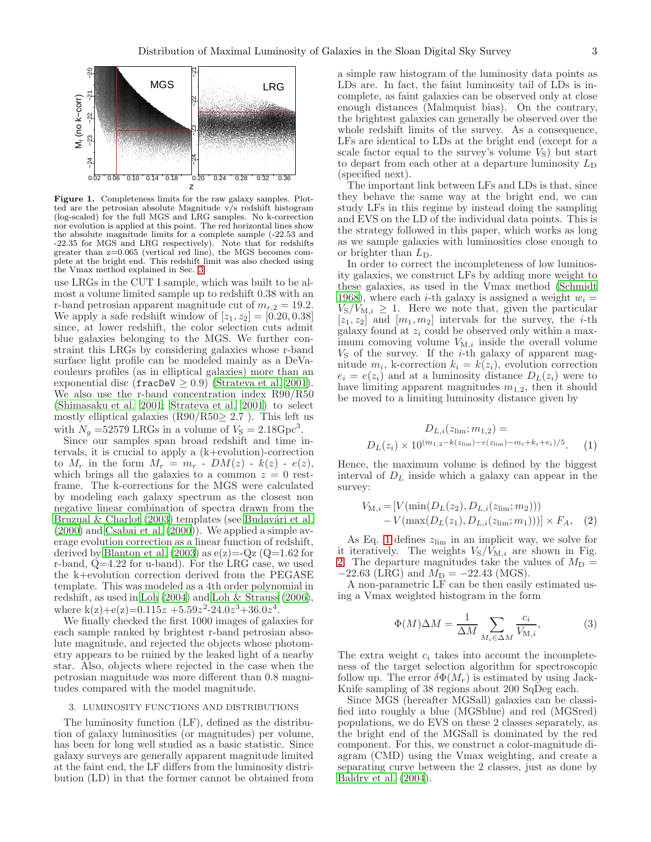

<span id="page-2-1"></span>Figure 1. Completeness limits for the raw galaxy samples. Plotted are the petrosian absolute Magnitude  $\sqrt{s}$  redshift histogram (log-scaled) for the full MGS and LRG samples. No k-correction nor evolution is applied at this point. The red horizontal lines show the absolute magnitude limits for a complete sample (-22.53 and -22.35 for MGS and LRG respectively). Note that for redshifts greater than z=0.065 (vertical red line), the MGS becomes complete at the bright end. This redshift limit was also checked using the Vmax method explained in Sec. [3.](#page-2-0)

use LRGs in the CUT I sample, which was built to be almost a volume limited sample up to redshift 0.38 with an r-band petrosian apparent magnitude cut of  $m_{r,2} = 19.2$ . We apply a safe redshift window of  $[z_1, z_2] = [0.20, 0.38]$ since, at lower redshift, the color selection cuts admit blue galaxies belonging to the MGS. We further constraint this LRGs by considering galaxies whose r-band surface light profile can be modeled mainly as a DeVacouleurs profiles (as in elliptical galaxies) more than an exponential disc (fracDeV  $\geq$  0.9) [\(Strateva et al. 2001\)](#page-11-26). We also use the r-band concentration index R90/R50 [\(Shimasaku et al. 2001;](#page-11-27) [Strateva et al. 2001\)](#page-11-26) to select mostly elliptical galaxies  $(R90/R50 \geq 2.7)$ . This left us with  $N_g = 52579$  LRGs in a volume of  $V_s = 2.18 \text{Gpc}^3$ .

Since our samples span broad redshift and time intervals, it is crucial to apply a (k+evolution)-correction to  $M_r$  in the form  $M_r = m_r - DM(z) - k(z) - e(z)$ , which brings all the galaxies to a common  $z = 0$  restframe. The k-corrections for the MGS were calculated by modeling each galaxy spectrum as the closest non negative linear combination of spectra drawn from the Bruzual  $& Charlotte$  (2003) templates (see Budavári et al. [\(2000\)](#page-11-29) and [Csabai et al. \(2000\)](#page-11-30)). We applied a simple average evolution correction as a linear function of redshift, derived by Blanton et al.  $(2003)$  as  $e(z) = Qz$  ( $Q=1.62$  for r-band, Q=4.22 for u-band). For the LRG case, we used the k+evolution correction derived from the PEGASE template. This was modeled as a 4th order polynomial in redshift, as used in [Loh \(2004](#page-11-32)) and [Loh & Strauss \(2006\)](#page-11-11), where  $k(z)+e(z)=0.115z + 5.59z^2-24.0z^3+36.0z^4$ .

We finally checked the first 1000 images of galaxies for each sample ranked by brightest r-band petrosian absolute magnitude, and rejected the objects whose photometry appears to be ruined by the leaked light of a nearby star. Also, objects where rejected in the case when the petrosian magnitude was more different than 0.8 magnitudes compared with the model magnitude.

# <span id="page-2-0"></span>3. LUMINOSITY FUNCTIONS AND DISTRIBUTIONS

The luminosity function (LF), defined as the distribution of galaxy luminosities (or magnitudes) per volume, has been for long well studied as a basic statistic. Since galaxy surveys are generally apparent magnitude limited at the faint end, the LF differs from the luminosity distribution (LD) in that the former cannot be obtained from

a simple raw histogram of the luminosity data points as LDs are. In fact, the faint luminosity tail of LDs is incomplete, as faint galaxies can be observed only at close enough distances (Malmquist bias). On the contrary, the brightest galaxies can generally be observed over the whole redshift limits of the survey. As a consequence, LFs are identical to LDs at the bright end (except for a scale factor equal to the survey's volume  $V_{\rm S}$ ) but start to depart from each other at a departure luminosity  $L_D$ (specified next).

The important link between LFs and LDs is that, since they behave the same way at the bright end, we can study LFs in this regime by instead doing the sampling and EVS on the LD of the individual data points. This is the strategy followed in this paper, which works as long as we sample galaxies with luminosities close enough to or brighter than  $L_{\text{D}}$ .

In order to correct the incompleteness of low luminosity galaxies, we construct LFs by adding more weight to these galaxies, as used in the Vmax method [\(Schmidt](#page-11-33) [1968\)](#page-11-33), where each *i*-th galaxy is assigned a weight  $w_i =$  $V_{\rm S}/V_{\rm M,i} \geq 1$ . Here we note that, given the particular  $[z_1, z_2]$  and  $[m_1, m_2]$  intervals for the survey, the *i*-th galaxy found at  $z_i$  could be observed only within a maximum comoving volume  $V_{\text{M},i}$  inside the overall volume  $V<sub>S</sub>$  of the survey. If the *i*-th galaxy of apparent magnitude  $m_i$ , k-correction  $k_i = k(z_i)$ , evolution correction  $e_i = e(z_i)$  and at a luminosity distance  $D_L(z_i)$  were to have limiting apparent magnitudes  $m_{1,2}$ , then it should be moved to a limiting luminosity distance given by

<span id="page-2-2"></span>
$$
D_{L,i}(z_{\rm lim};m_{1,2}) =
$$
  
 
$$
D_L(z_i) \times 10^{(m_{1,2} - k(z_{\rm lim}) - e(z_{\rm lim}) - m_i + k_i + e_i)/5}.
$$
 (1)

Hence, the maximum volume is defined by the biggest interval of  $D<sub>L</sub>$  inside which a galaxy can appear in the survey:

$$
V_{\text{M},i} = [V(\min(D_L(z_2), D_{L,i}(z_{\text{lim}}; m_2)))
$$
  
-  $V(\max(D_L(z_1), D_{L,i}(z_{\text{lim}}; m_1)))] \times F_A$ , (2)

As Eq. [1](#page-2-2) defines  $z_{\text{lim}}$  in an implicit way, we solve for it iteratively. The weights  $V<sub>S</sub>/V<sub>M,i</sub>$  are shown in Fig. [2.](#page-3-0) The departure magnitudes take the values of  $M_{\rm D}$  =  $-22.63$  (LRG) and  $M_{\rm D} = -22.43$  (MGS).

A non-parametric LF can be then easily estimated using a Vmax weighted histogram in the form

$$
\Phi(M)\Delta M = \frac{1}{\Delta M} \sum_{M_i \in \Delta M} \frac{c_i}{V_{\text{M},i}},\tag{3}
$$

The extra weight  $c_i$  takes into account the incompleteness of the target selection algorithm for spectroscopic follow up. The error  $\delta \Phi(M_r)$  is estimated by using Jack-Knife sampling of 38 regions about 200 SqDeg each.

Since MGS (hereafter MGSall) galaxies can be classified into roughly a blue (MGSblue) and red (MGSred) populations, we do EVS on these 2 classes separately, as the bright end of the MGSall is dominated by the red component. For this, we construct a color-magnitude diagram (CMD) using the Vmax weighting, and create a separating curve between the 2 classes, just as done by [Baldry et al. \(2004\)](#page-11-34).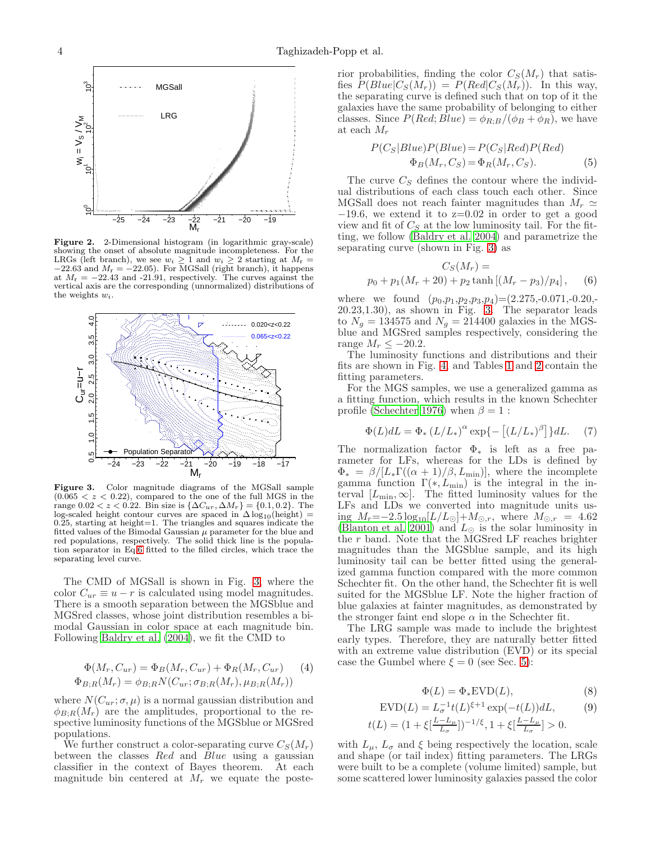

<span id="page-3-0"></span>Figure 2. 2-Dimensional histogram (in logarithmic gray-scale) showing the onset of absolute magnitude incompleteness. For the LRGs (left branch), we see  $w_i \geq 1$  and  $w_i \geq 2$  starting at  $M_r =$  $-22.63$  and  $M_r = -22.05$ ). For MGSall (right branch), it happens at  $M_r = -22.43$  and -21.91, respectively. The curves against the vertical axis are the corresponding (unnormalized) distributions of the weights  $w_i$ .



<span id="page-3-2"></span>Figure 3. Color magnitude diagrams of the MGSall sample  $(0.065 < z < 0.22)$ , compared to the one of the full MGS in the range  $0.02 < z < 0.22$ . Bin size is  $\{\Delta C_{ur}, \Delta M_r\} = \{0.1, 0.2\}$ . The log-scaled height contour curves are spaced in  $\Delta \log_{10}(\text{height})$  = 0.25, starting at height=1. The triangles and squares indicate the fitted values of the Bimodal Gaussian  $\mu$  parameter for the blue and red populations, respectively. The solid thick line is the population separator in Eq[.6](#page-3-1) fitted to the filled circles, which trace the separating level curve.

The CMD of MGSall is shown in Fig. [3,](#page-3-2) where the color  $C_{ur} \equiv u - r$  is calculated using model magnitudes. There is a smooth separation between the MGSblue and MGSred classes, whose joint distribution resembles a bimodal Gaussian in color space at each magnitude bin. Following [Baldry et al. \(2004\)](#page-11-34), we fit the CMD to

$$
\Phi(M_r, C_{ur}) = \Phi_B(M_r, C_{ur}) + \Phi_R(M_r, C_{ur}) \tag{4}
$$
  

$$
\Phi_{B,R}(M_r) = \phi_{B,R} N(C_{ur}; \sigma_{B,R}(M_r), \mu_{B;R}(M_r))
$$

where  $N(C_{ur}; \sigma, \mu)$  is a normal gaussian distribution and  $\phi_{B;R}(M_r)$  are the amplitudes, proportional to the respective luminosity functions of the MGSblue or MGSred populations.

We further construct a color-separating curve  $C_S(M_r)$ between the classes  $Red$  and  $Blue$  using a gaussian classifier in the context of Bayes theorem. At each magnitude bin centered at  $M_r$  we equate the posterior probabilities, finding the color  $C_S(M_r)$  that satisfies  $P(Blue|C_S(M_r)) = P(Red|C_S(M_r))$ . In this way, the separating curve is defined such that on top of it the galaxies have the same probability of belonging to either classes. Since  $P(Red; Blue) = \phi_{R:B}/(\phi_B + \phi_R)$ , we have at each  $M_r$ 

$$
P(CS|Blue)P(Blue) = P(CS|Red)P(Red)
$$
  
\n
$$
\Phi_B(M_r, C_S) = \Phi_R(M_r, C_S).
$$
 (5)

The curve  $C<sub>S</sub>$  defines the contour where the individual distributions of each class touch each other. Since MGSall does not reach fainter magnitudes than  $M_r \simeq$  $-19.6$ , we extend it to z=0.02 in order to get a good view and fit of  $C_S$  at the low luminosity tail. For the fitting, we follow [\(Baldry et al. 2004\)](#page-11-34) and parametrize the separating curve (shown in Fig. [3\)](#page-3-2) as

<span id="page-3-1"></span>
$$
C_S(M_r) =
$$
  

$$
p_0 + p_1(M_r + 20) + p_2 \tanh [(M_r - p_3)/p_4],
$$
 (6)

where we found  $(p_0, p_1, p_2, p_3, p_4) = (2.275, -0.071, -0.20, -0.071)$ 20.23,1.30), as shown in Fig. [3.](#page-3-2) The separator leads to  $N_g = 134575$  and  $N_g = 214400$  galaxies in the MGSblue and MGSred samples respectively, considering the range  $M_r \leq -20.2$ .

The luminosity functions and distributions and their fits are shown in Fig. [4,](#page-4-1) and Tables [1](#page-4-2) and [2](#page-4-3) contain the fitting parameters.

For the MGS samples, we use a generalized gamma as a fitting function, which results in the known Schechter profile [\(Schechter 1976\)](#page-11-3) when  $\beta = 1$ :

<span id="page-3-3"></span>
$$
\Phi(L)dL = \Phi_* (L/L_*)^{\alpha} \exp\{-\left[ (L/L_*)^{\beta} \right] \} dL. \tag{7}
$$

The normalization factor  $\Phi_*$  is left as a free parameter for LFs, whereas for the LDs is defined by  $\Phi_* = \frac{\beta}{[L_*\Gamma((\alpha+1)/\beta,L_{\min})]},$  where the incomplete gamma function  $\Gamma(*, L_{\text{min}})$  is the integral in the interval  $[L_{\min}, \infty]$ . The fitted luminosity values for the LFs and LDs we converted into magnitude units using  $M_r = -2.5 \log_{10}[L/L_{\odot}] + M_{\odot,r}$ , where  $M_{\odot,r} = 4.62$ [\(Blanton et al. 2001\)](#page-11-35) and  $L_{\odot}$  is the solar luminosity in the r band. Note that the MGSred LF reaches brighter magnitudes than the MGSblue sample, and its high luminosity tail can be better fitted using the generalized gamma function compared with the more common Schechter fit. On the other hand, the Schechter fit is well suited for the MGSblue LF. Note the higher fraction of blue galaxies at fainter magnitudes, as demonstrated by the stronger faint end slope  $\alpha$  in the Schechter fit.

The LRG sample was made to include the brightest early types. Therefore, they are naturally better fitted with an extreme value distribution (EVD) or its special case the Gumbel where  $\xi = 0$  (see Sec. [5\)](#page-5-0):

$$
\Phi(L) = \Phi_* \text{EVD}(L),\tag{8}
$$

<span id="page-3-4"></span>
$$
EVD(L) = L_{\sigma}^{-1}t(L)^{\xi+1}\exp(-t(L))dL,\tag{9}
$$

$$
t(L) = (1 + \xi \left[\frac{L - L_{\mu}}{L_{\sigma}}\right])^{-1/\xi}, 1 + \xi \left[\frac{L - L_{\mu}}{L_{\sigma}}\right] > 0.
$$

with  $L_{\mu}$ ,  $L_{\sigma}$  and  $\xi$  being respectively the location, scale and shape (or tail index) fitting parameters. The LRGs were built to be a complete (volume limited) sample, but some scattered lower luminosity galaxies passed the color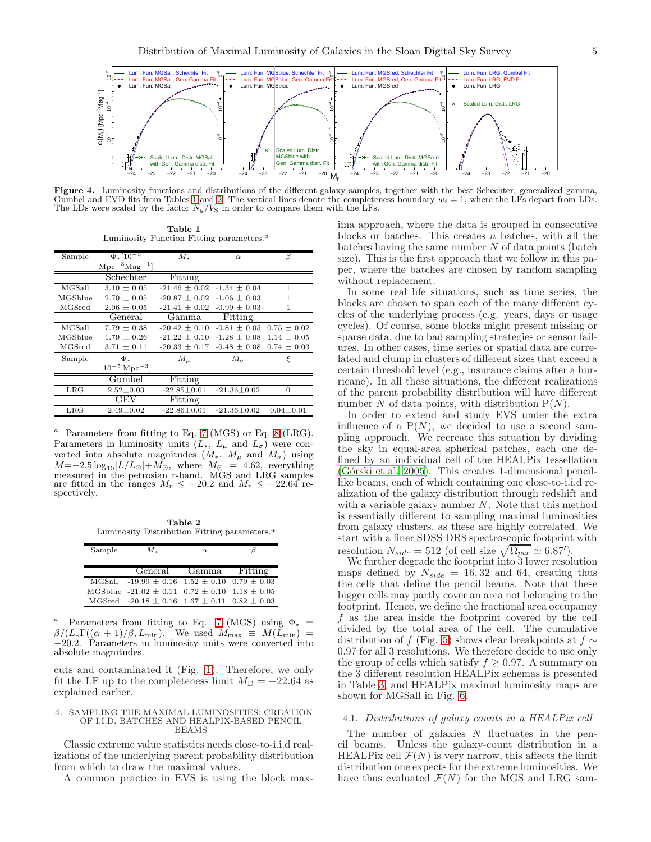

Figure 4. Luminosity functions and distributions of the different galaxy samples, together with the best Schechter, generalized gamma, Gumbel and EVD fits from Tables [1](#page-4-2) and [2.](#page-4-3) The vertical lines denote the completeness boundary  $w_i = 1$ , where the LFs depart from LDs. The LDs were scaled by the factor  $N_g/V_S$  in order to compare them with the LFs.

<span id="page-4-1"></span>Table 1 Luminosity Function Fitting parameters. $a$ 

<span id="page-4-2"></span>

| Sample       | $\Phi_*\overline{[10^{-3}]}$ | $M_*$             | $\alpha$          | Β               |  |
|--------------|------------------------------|-------------------|-------------------|-----------------|--|
|              | $\rm Mpc^{-3}Mag^{-1}$       |                   |                   |                 |  |
|              | Schechter                    | Fitting           |                   |                 |  |
| MGSall       | $3.10 \pm 0.05$              | $-21.46 + 0.02$   | $-1.34 + 0.04$    | 1               |  |
| MGSblue      | $2.70 \pm 0.05$              | $-20.87 \pm 0.02$ | $-1.06 \pm 0.03$  | 1               |  |
| MGSred       | $2.06 + 0.05$                | $-21.41 \pm 0.02$ | $-0.99 \pm 0.03$  | 1               |  |
|              | General                      | Gamma             | Fitting           |                 |  |
| MGSall       | $7.79 \pm 0.38$              | $-20.42 \pm 0.10$ | $-0.81 \pm 0.05$  | $0.75 \pm 0.02$ |  |
| MGSblue      | $1.79 + 0.26$                | $-21.22 + 0.10$   | $-1.28 + 0.08$    | $1.14 \pm 0.05$ |  |
| MGSred       | $3.71 \pm 0.11$              | $-20.33 \pm 0.17$ | $-0.48 \pm 0.08$  | $0.74 \pm 0.03$ |  |
| Sample       | Ф.                           | $M_{\mu}$         | $M_{\sigma}$      | ξ               |  |
|              | $[10^{-5} \, \rm Mpc^{-3}]$  |                   |                   |                 |  |
|              | Gumbel                       | Fitting           |                   |                 |  |
| LRG          | $2.52 \pm 0.03$              | $-22.85 \pm 0.01$ | $-21.36 \pm 0.02$ | $\Omega$        |  |
|              | GEV                          | Fitting           |                   |                 |  |
| $_{\rm LRG}$ | $2.49 \pm 0.02$              | $-22.86 \pm 0.01$ | $-21.36 \pm 0.02$ | $0.04 \pm 0.01$ |  |

Parameters from fitting to Eq. [7](#page-3-3) (MGS) or Eq. [8](#page-3-4) (LRG). Parameters in luminosity units  $(L_*, L_{\mu}$  and  $L_{\sigma})$  were converted into absolute magnitudes  $(M_*, M_\mu$  and  $M_\sigma)$  using  $M=-2.5 \log_{10}[L/L_{\odot}]+M_{\odot}$ , where  $M_{\odot} = 4.62$ , everything measured in the petrosian r-band. MGS and LRG samples are fitted in the ranges  $M_r \le -20.2$  and  $M_r \le -22.64$  respectively.

Table 2 Luminosity Distribution Fitting parameters. $a$ 

<span id="page-4-3"></span>

| Sample | $M_{*}$                                                   | $\alpha$              | 13 |  |
|--------|-----------------------------------------------------------|-----------------------|----|--|
|        |                                                           |                       |    |  |
|        |                                                           | General Gamma Fitting |    |  |
|        | MGSall $-19.99 \pm 0.16$ $1.52 \pm 0.10$ $0.79 \pm 0.03$  |                       |    |  |
|        | MGSblue $-21.02 \pm 0.11$ $0.72 \pm 0.10$ $1.18 \pm 0.05$ |                       |    |  |
|        | MGSred $-20.18 \pm 0.16$ 1.67 $\pm$ 0.11 0.82 $\pm$ 0.03  |                       |    |  |

<sup>a</sup> Parameters from fitting to Eq. [7](#page-3-3) (MGS) using  $\Phi_*$  =  $\beta/(L_{\ast}\Gamma((\alpha+1)/\beta,L_{\min}).$  We used  $M_{\max} \equiv M(L_{\min}) =$ −20.2. Parameters in luminosity units were converted into absolute magnitudes.

cuts and contaminated it (Fig. [1\)](#page-2-1). Therefore, we only fit the LF up to the completeness limit  $M_D = -22.64$  as explained earlier.

#### <span id="page-4-0"></span>4. SAMPLING THE MAXIMAL LUMINOSITIES: CREATION OF I.I.D. BATCHES AND HEALPIX-BASED PENCIL BEAMS

Classic extreme value statistics needs close-to-i.i.d realizations of the underlying parent probability distribution from which to draw the maximal values.

A common practice in EVS is using the block max-

ima approach, where the data is grouped in consecutive blocks or batches. This creates  $n$  batches, with all the batches having the same number  $N$  of data points (batch size). This is the first approach that we follow in this paper, where the batches are chosen by random sampling without replacement.

In some real life situations, such as time series, the blocks are chosen to span each of the many different cycles of the underlying process (e.g. years, days or usage cycles). Of course, some blocks might present missing or sparse data, due to bad sampling strategies or sensor failures. In other cases, time series or spatial data are correlated and clump in clusters of different sizes that exceed a certain threshold level (e.g., insurance claims after a hurricane). In all these situations, the different realizations of the parent probability distribution will have different number N of data points, with distribution  $P(N)$ .

In order to extend and study EVS under the extra influence of a  $P(N)$ , we decided to use a second sampling approach. We recreate this situation by dividing the sky in equal-area spherical patches, each one defined by an individual cell of the HEALPix tessellation (Górski et al. 2005). This creates 1-dimensional pencillike beams, each of which containing one close-to-i.i.d realization of the galaxy distribution through redshift and with a variable galaxy number  $N$ . Note that this method is essentially different to sampling maximal luminosities from galaxy clusters, as these are highly correlated. We start with a finer SDSS DR8 spectroscopic footprint with resolution  $N_{side} = 512$  (of cell size  $\sqrt{\Omega_{pix}} \simeq 6.87'$ ).

We further degrade the footprint into 3 lower resolution maps defined by  $N_{side} = 16,32$  and 64, creating thus the cells that define the pencil beams. Note that these bigger cells may partly cover an area not belonging to the footprint. Hence, we define the fractional area occupancy f as the area inside the footprint covered by the cell divided by the total area of the cell. The cumulative distribution of f (Fig. [5\)](#page-5-1) shows clear breakpoints at  $f \sim$ 0.97 for all 3 resolutions. We therefore decide to use only the group of cells which satisfy  $f \geq 0.97$ . A summary on the 3 different resolution HEALPix schemas is presented in Table [3,](#page-5-2) and HEALPix maximal luminosity maps are shown for MGSall in Fig. [6.](#page-5-3)

## 4.1. Distributions of galaxy counts in a HEALPix cell

The number of galaxies  $N$  fluctuates in the pencil beams. Unless the galaxy-count distribution in a HEALPix cell  $\mathcal{F}(N)$  is very narrow, this affects the limit distribution one expects for the extreme luminosities. We have thus evaluated  $\mathcal{F}(N)$  for the MGS and LRG sam-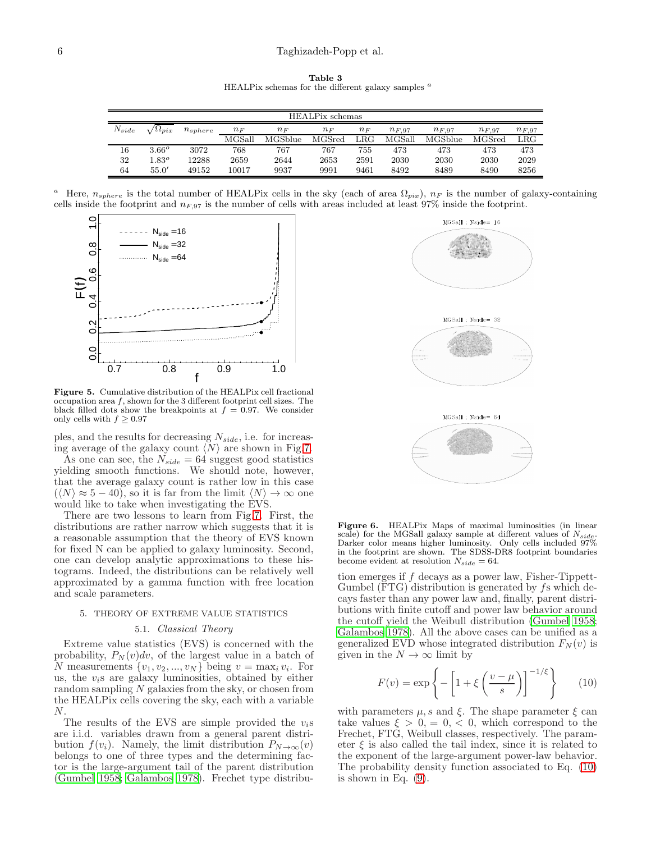Table 3 HEALPix schemas for the different galaxy samples  $a$ 

<span id="page-5-2"></span>

| HEALPix schemas |                      |              |         |          |        |              |            |            |            |              |
|-----------------|----------------------|--------------|---------|----------|--------|--------------|------------|------------|------------|--------------|
| $N_{side}$      | $\Delta \iota_{pix}$ | $n_{sphere}$ | $n_{F}$ | $n_F$    | $n_F$  | $n_F$        | $n_{F,97}$ | $n_{F,97}$ | $n_{F,97}$ | $n_{F,97}$   |
|                 |                      |              | MGSall  | MGS blue | MGSred | $_{\rm LRG}$ | MGSall     | MGSblue    | MGSred     | $_{\rm LRG}$ |
| 16              | $3.66^{\circ}$       | 3072         | 768     | 767      | 767    | 755          | 473        | 473        | 473        | 473          |
| 32              | $1.83^o$             | 12288        | 2659    | 2644     | 2653   | 2591         | 2030       | 2030       | 2030       | 2029         |
| 64              | 55.0'                | 49152        | 10017   | 9937     | 9991   | 9461         | 8492       | 8489       | 8490       | 8256         |

<sup>a</sup> Here,  $n_{sphere}$  is the total number of HEALPix cells in the sky (each of area  $\Omega_{pix}$ ),  $n_F$  is the number of galaxy-containing cells inside the footprint and  $n_{F,97}$  is the number of cells with areas included at least 97% inside the footprint.



<span id="page-5-1"></span>Figure 5. Cumulative distribution of the HEALPix cell fractional occupation area  $f$ , shown for the 3 different footprint cell sizes. The black filled dots show the breakpoints at  $f = 0.97$ . We consider only cells with  $f \geq 0.97$ 

ples, and the results for decreasing  $N_{side}$ , i.e. for increasing average of the galaxy count  $\langle N \rangle$  are shown in Fig[.7.](#page-6-0)

As one can see, the  $N_{side} = 64$  suggest good statistics yielding smooth functions. We should note, however, that the average galaxy count is rather low in this case  $(N \approx 5 - 40)$ , so it is far from the limit  $\langle N \rangle \rightarrow \infty$  one would like to take when investigating the EVS.

There are two lessons to learn from Fig[.7.](#page-6-0) First, the distributions are rather narrow which suggests that it is a reasonable assumption that the theory of EVS known for fixed N can be applied to galaxy luminosity. Second, one can develop analytic approximations to these histograms. Indeed, the distributions can be relatively well approximated by a gamma function with free location and scale parameters.

#### <span id="page-5-0"></span>5. THEORY OF EXTREME VALUE STATISTICS

### 5.1. Classical Theory

Extreme value statistics (EVS) is concerned with the probability,  $P_N(v)dv$ , of the largest value in a batch of N measurements  $\{v_1, v_2, ..., v_N\}$  being  $v = \max_i v_i$ . For us, the  $v_i$ s are galaxy luminosities, obtained by either random sampling  $N$  galaxies from the sky, or chosen from the HEALPix cells covering the sky, each with a variable N.

The results of the EVS are simple provided the  $v_i$ s are i.i.d. variables drawn from a general parent distribution  $f(v_i)$ . Namely, the limit distribution  $P_{N\to\infty}(v)$ belongs to one of three types and the determining factor is the large-argument tail of the parent distribution [\(Gumbel 1958;](#page-11-0) [Galambos 1978\)](#page-11-1). Frechet type distribu-



<span id="page-5-3"></span>Figure 6. HEALPix Maps of maximal luminosities (in linear scale) for the MGSall galaxy sample at different values of  $N_{side}$ .<br>Darker color means higher luminosity. Only cells included 97% in the footprint are shown. The SDSS-DR8 footprint boundaries become evident at resolution  $N_{side} = 64$ .

tion emerges if f decays as a power law, Fisher-Tippett-Gumbel ( $\overline{FTG}$ ) distribution is generated by fs which decays faster than any power law and, finally, parent distributions with finite cutoff and power law behavior around the cutoff yield the Weibull distribution [\(Gumbel 1958](#page-11-0); [Galambos 1978\)](#page-11-1). All the above cases can be unified as a generalized EVD whose integrated distribution  $F_N(v)$  is given in the  $N \to \infty$  limit by

<span id="page-5-4"></span>
$$
F(v) = \exp\left\{-\left[1 + \xi \left(\frac{v - \mu}{s}\right)\right]^{-1/\xi}\right\} \qquad (10)
$$

with parameters  $\mu$ , s and  $\xi$ . The shape parameter  $\xi$  can take values  $\xi > 0, = 0, < 0$ , which correspond to the Frechet, FTG, Weibull classes, respectively. The parameter  $\xi$  is also called the tail index, since it is related to the exponent of the large-argument power-law behavior. The probability density function associated to Eq. [\(10\)](#page-5-4) is shown in Eq. [\(9\)](#page-3-4).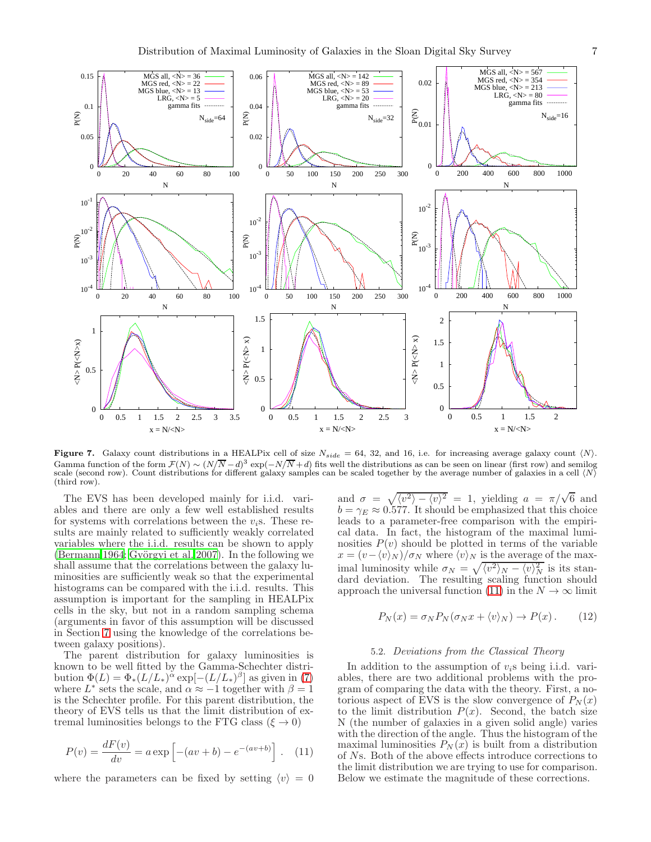

<span id="page-6-0"></span>Figure 7. Galaxy count distributions in a HEALPix cell of size  $N_{side} = 64, 32,$  and 16, i.e. for increasing average galaxy count  $\langle N \rangle$ . Gamma function of the form  $\mathcal{F}(N) \sim (N/\overline{N}-d)^3 \exp(-N/\overline{N}+d)$  fits well the distributions as can be seen on linear (first row) and semilog scale (second row). Count distributions for different galaxy samples can be scaled together by the average number of galaxies in a cell  $\langle N \rangle$ (third row).

The EVS has been developed mainly for i.i.d. variables and there are only a few well established results for systems with correlations between the  $v_i$ s. These results are mainly related to sufficiently weakly correlated variables where the i.i.d. results can be shown to apply [\(Bermann 1964;](#page-11-36) Györgyi et al. 2007). In the following we shall assume that the correlations between the galaxy luminosities are sufficiently weak so that the experimental histograms can be compared with the i.i.d. results. This assumption is important for the sampling in HEALPix cells in the sky, but not in a random sampling schema (arguments in favor of this assumption will be discussed in Section [7](#page-10-0) using the knowledge of the correlations between galaxy positions).

The parent distribution for galaxy luminosities is known to be well fitted by the Gamma-Schechter distribution  $\Phi(L) = \Phi_*(L/L_*)^{\alpha} \exp[-(L/L_*)^{\beta}]$  as given in [\(7\)](#page-3-3) where  $L^*$  sets the scale, and  $\alpha \approx -1$  together with  $\beta = 1$ is the Schechter profile. For this parent distribution, the theory of EVS tells us that the limit distribution of extremal luminosities belongs to the FTG class ( $\xi \to 0$ )

<span id="page-6-1"></span>
$$
P(v) = \frac{dF(v)}{dv} = a \exp \left[ -(av + b) - e^{-(av + b)} \right]. \tag{11}
$$

where the parameters can be fixed by setting  $\langle v \rangle = 0$ 

and  $\sigma = \sqrt{\langle v^2 \rangle - \langle v \rangle^2} = 1$ , yielding  $a = \pi/\sqrt{6}$  and  $b = \gamma_E \approx 0.577$ . It should be emphasized that this choice leads to a parameter-free comparison with the empirical data. In fact, the histogram of the maximal luminosities  $P(v)$  should be plotted in terms of the variable  $x = (v - \langle v \rangle_N) / \sigma_N$  where  $\langle v \rangle_N$  is the average of the maximal luminosity while  $\sigma_N = \sqrt{\langle v^2 \rangle_N - \langle v \rangle_N^2}$  is its standard deviation. The resulting scaling function should approach the universal function [\(11\)](#page-6-1) in the  $N \to \infty$  limit

$$
P_N(x) = \sigma_N P_N(\sigma_N x + \langle v \rangle_N) \to P(x). \tag{12}
$$

## 5.2. Deviations from the Classical Theory

In addition to the assumption of  $v_i$ s being i.i.d. variables, there are two additional problems with the program of comparing the data with the theory. First, a notorious aspect of EVS is the slow convergence of  $P_N(x)$ to the limit distribution  $P(x)$ . Second, the batch size N (the number of galaxies in a given solid angle) varies with the direction of the angle. Thus the histogram of the maximal luminosities  $P_N(x)$  is built from a distribution of Ns. Both of the above effects introduce corrections to the limit distribution we are trying to use for comparison. Below we estimate the magnitude of these corrections.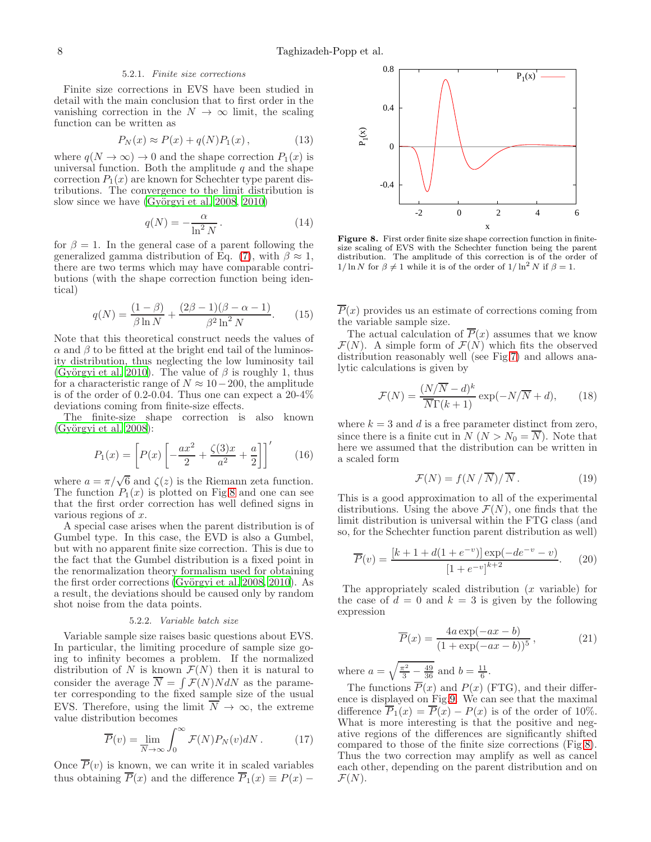### 5.2.1. Finite size corrections

<span id="page-7-2"></span>Finite size corrections in EVS have been studied in detail with the main conclusion that to first order in the vanishing correction in the  $N \to \infty$  limit, the scaling function can be written as

<span id="page-7-4"></span>
$$
P_N(x) \approx P(x) + q(N)P_1(x), \qquad (13)
$$

where  $q(N \to \infty) \to 0$  and the shape correction  $P_1(x)$  is universal function. Both the amplitude  $q$  and the shape correction  $P_1(x)$  are known for Schechter type parent distributions. The convergence to the limit distribution is slow since we have  $(Györgyi et al. 2008, 2010)$  $(Györgyi et al. 2008, 2010)$ 

$$
q(N) = -\frac{\alpha}{\ln^2 N}.
$$
 (14)

for  $\beta = 1$ . In the general case of a parent following the generalized gamma distribution of Eq. [\(7\)](#page-3-3), with  $\beta \approx 1$ , there are two terms which may have comparable contributions (with the shape correction function being identical)

<span id="page-7-3"></span>
$$
q(N) = \frac{(1 - \beta)}{\beta \ln N} + \frac{(2\beta - 1)(\beta - \alpha - 1)}{\beta^2 \ln^2 N}.
$$
 (15)

Note that this theoretical construct needs the values of  $\alpha$  and  $\beta$  to be fitted at the bright end tail of the luminosity distribution, thus neglecting the low luminosity tail (Györgyi et al. 2010). The value of  $\beta$  is roughly 1, thus for a characteristic range of  $N \approx 10-200$ , the amplitude is of the order of 0.2-0.04. Thus one can expect a 20-4% deviations coming from finite-size effects.

The finite-size shape correction is also known  $(Györgyi et al. 2008):$ 

$$
P_1(x) = \left[ P(x) \left[ -\frac{ax^2}{2} + \frac{\zeta(3)x}{a^2} + \frac{a}{2} \right] \right]'
$$
 (16)

where  $a = \pi/\sqrt{6}$  and  $\zeta(z)$  is the Riemann zeta function. The function  $P_1(x)$  is plotted on Fig[.8](#page-7-0) and one can see that the first order correction has well defined signs in various regions of  $x$ .

A special case arises when the parent distribution is of Gumbel type. In this case, the EVD is also a Gumbel, but with no apparent finite size correction. This is due to the fact that the Gumbel distribution is a fixed point in the renormalization theory formalism used for obtaining the first order corrections (Györgyi et al. 2008, [2010\)](#page-11-38). As a result, the deviations should be caused only by random shot noise from the data points.

### 5.2.2. Variable batch size

Variable sample size raises basic questions about EVS. In particular, the limiting procedure of sample size going to infinity becomes a problem. If the normalized distribution of N is known  $\mathcal{F}(N)$  then it is natural to consider the average  $\overline{N} = \int \mathcal{F}(N)N dN$  as the parameter corresponding to the fixed sample size of the usual EVS. Therefore, using the limit  $\overline{N} \to \infty$ , the extreme value distribution becomes

$$
\overline{P}(v) = \lim_{\overline{N} \to \infty} \int_0^\infty \mathcal{F}(N) P_N(v) dN.
$$
 (17)

Once  $\overline{P}(v)$  is known, we can write it in scaled variables thus obtaining  $\overline{P}(x)$  and the difference  $\overline{P}_1(x) \equiv P(x)$  –



<span id="page-7-0"></span>Figure 8. First order finite size shape correction function in finitesize scaling of EVS with the Schechter function being the parent distribution. The amplitude of this correction is of the order of  $1/\ln N$  for  $\beta \neq 1$  while it is of the order of  $1/\ln^2 N$  if  $\beta = 1$ .

 $\overline{P}(x)$  provides us an estimate of corrections coming from the variable sample size.

The actual calculation of  $\overline{P}(x)$  assumes that we know  $\mathcal{F}(N)$ . A simple form of  $\mathcal{F}(N)$  which fits the observed distribution reasonably well (see Fig[.7\)](#page-6-0) and allows analytic calculations is given by

<span id="page-7-1"></span>
$$
\mathcal{F}(N) = \frac{(N/\overline{N} - d)^k}{\overline{N}\Gamma(k+1)} \exp(-N/\overline{N} + d),\qquad(18)
$$

where  $k = 3$  and d is a free parameter distinct from zero, since there is a finite cut in  $N (N > N_0 = \overline{N})$ . Note that here we assumed that the distribution can be written in a scaled form

$$
\mathcal{F}(N) = f(N/\overline{N})/\overline{N}.
$$
 (19)

This is a good approximation to all of the experimental distributions. Using the above  $\mathcal{F}(N)$ , one finds that the limit distribution is universal within the FTG class (and so, for the Schechter function parent distribution as well)

$$
\overline{P}(v) = \frac{[k+1+d(1+e^{-v})] \exp(-de^{-v} - v)}{[1+e^{-v}]^{k+2}}.
$$
 (20)

The appropriately scaled distribution  $(x$  variable) for the case of  $d = 0$  and  $k = 3$  is given by the following expression

$$
\overline{P}(x) = \frac{4a \exp(-ax - b)}{(1 + \exp(-ax - b))^5},
$$
\n(21)

where  $a = \sqrt{\frac{\pi^2}{3} - \frac{49}{36}}$  and  $b = \frac{11}{6}$ .

The functions  $\overline{P}(x)$  and  $P(x)$  (FTG), and their difference is displayed on Fig[.9.](#page-8-1) We can see that the maximal difference  $\overline{P}_1(x) = \overline{P}(x) - P(x)$  is of the order of 10%. What is more interesting is that the positive and negative regions of the differences are significantly shifted compared to those of the finite size corrections (Fig[.8\)](#page-7-0). Thus the two correction may amplify as well as cancel each other, depending on the parent distribution and on  $\mathcal{F}(N)$ .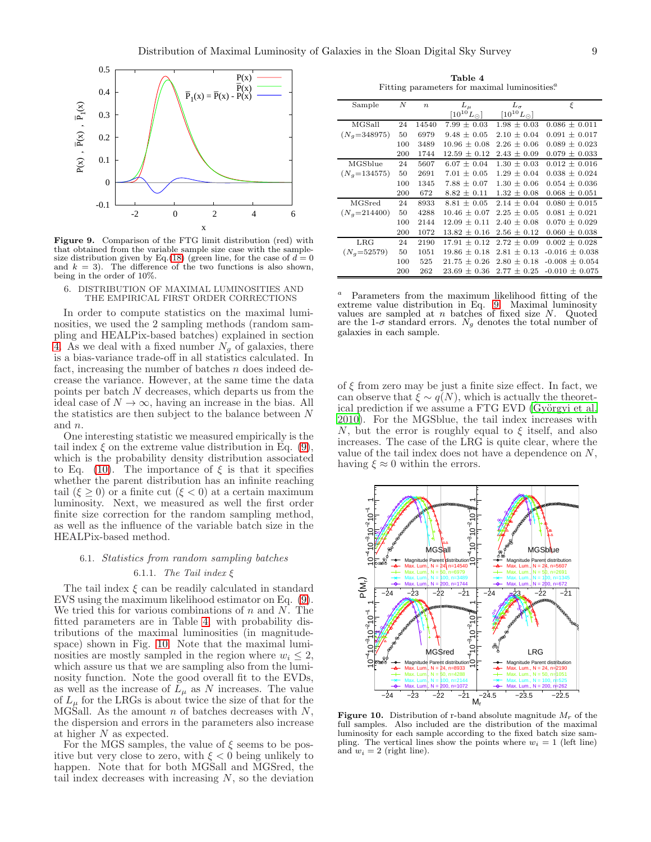

<span id="page-8-1"></span>Figure 9. Comparison of the FTG limit distribution (red) with that obtained from the variable sample size case with the sample-size distribution given by Eq.[\(18\)](#page-7-1) (green line, for the case of  $d = 0$ and  $k = 3$ ). The difference of the two functions is also shown, being in the order of 10%.

<span id="page-8-0"></span>6. DISTRIBUTION OF MAXIMAL LUMINOSITIES AND THE EMPIRICAL FIRST ORDER CORRECTIONS

In order to compute statistics on the maximal luminosities, we used the 2 sampling methods (random sampling and HEALPix-based batches) explained in section [4.](#page-4-0) As we deal with a fixed number  $N_g$  of galaxies, there is a bias-variance trade-off in all statistics calculated. In fact, increasing the number of batches  $n$  does indeed decrease the variance. However, at the same time the data points per batch N decreases, which departs us from the ideal case of  $N \to \infty$ , having an increase in the bias. All the statistics are then subject to the balance between  $N$ and n.

One interesting statistic we measured empirically is the tail index  $\xi$  on the extreme value distribution in Eq. [\(9\)](#page-3-4), which is the probability density distribution associated to Eq. [\(10\)](#page-5-4). The importance of  $\xi$  is that it specifies whether the parent distribution has an infinite reaching tail  $(\xi \geq 0)$  or a finite cut  $(\xi < 0)$  at a certain maximum luminosity. Next, we measured as well the first order finite size correction for the random sampling method, as well as the influence of the variable batch size in the HEALPix-based method.

# 6.1. Statistics from random sampling batches 6.1.1. The Tail index  $\xi$

The tail index  $\xi$  can be readily calculated in standard EVS using the maximum likelihood estimator on Eq. [\(9\)](#page-3-4). We tried this for various combinations of  $n$  and  $N$ . The fitted parameters are in Table [4,](#page-8-2) with probability distributions of the maximal luminosities (in magnitudespace) shown in Fig. [10.](#page-8-3) Note that the maximal luminosities are mostly sampled in the region where  $w_i \leq 2$ , which assure us that we are sampling also from the luminosity function. Note the good overall fit to the EVDs, as well as the increase of  $L_{\mu}$  as N increases. The value of  $L_{\mu}$  for the LRGs is about twice the size of that for the MGSall. As the amount n of batches decreases with  $N$ , the dispersion and errors in the parameters also increase at higher N as expected.

For the MGS samples, the value of  $\xi$  seems to be positive but very close to zero, with  $\xi < 0$  being unlikely to happen. Note that for both MGSall and MGSred, the tail index decreases with increasing  $N$ , so the deviation

Table 4 Fitting parameters for maximal luminosities.<sup>2</sup>

<span id="page-8-2"></span>

| Sample         | N   | $\boldsymbol{n}$ | $L_{\mu}$            | $L_{\sigma}$          | ε                  |
|----------------|-----|------------------|----------------------|-----------------------|--------------------|
|                |     |                  | $[10^{10}L_{\odot}]$ | $[10^{10} L_{\odot}]$ |                    |
| MGSall         | 24  | 14540            | $7.99 \pm 0.03$      | $1.98 \pm 0.03$       | $0.086 \pm 0.011$  |
| $(N_g=348975)$ | 50  | 6979             | $9.48 \pm 0.05$      | $2.10 + 0.04$         | $0.091 \pm 0.017$  |
|                | 100 | 3489             | $10.96 + 0.08$       | $2.26 + 0.06$         | $0.089 \pm 0.023$  |
|                | 200 | 1744             | $12.59 \pm 0.12$     | $2.43 \pm 0.09$       | $0.079 \pm 0.033$  |
| MGSblue        | 24  | 5607             | $6.07 + 0.04$        | $1.30 + 0.03$         | $0.012 + 0.016$    |
| $(N_q=134575)$ | 50  | 2691             | $7.01 \pm 0.05$      | $1.29 \pm 0.04$       | $0.038 + 0.024$    |
|                | 100 | 1345             | $7.88 \pm 0.07$      | $1.30 \pm 0.06$       | $0.054 \pm 0.036$  |
|                | 200 | 672              | $8.82 \pm 0.11$      | $1.32 \pm 0.08$       | $0.068 \pm 0.051$  |
| MGSred         | 24  | 8933             | $8.81 + 0.05$        | $2.14 + 0.04$         | $0.080 \pm 0.015$  |
| $(N_a=214400)$ | 50  | 4288             | $10.46 + 0.07$       | $2.25 + 0.05$         | $0.081 \pm 0.021$  |
|                | 100 | 2144             | $12.09 + 0.11$       | $2.40 \pm 0.08$       | $0.070 \pm 0.029$  |
|                | 200 | 1072             | $13.82 \pm 0.16$     | $2.56 \pm 0.12$       | $0.060 \pm 0.038$  |
| LRG            | 24  | 2190             | $17.91 + 0.12$       | $2.72 + 0.09$         | $0.002 \pm 0.028$  |
| $(N_q=52579)$  | 50  | 1051             | $19.86 \pm 0.18$     | $2.81 \pm 0.13$       | $-0.016 \pm 0.038$ |
|                | 100 | 525              | $21.75 \pm 0.26$     | 2.80<br>$\pm$ 0.18    | $-0.008 \pm 0.054$ |
|                | 200 | 262              | $23.69 \pm 0.36$     | $2.77 \pm 0.25$       | $-0.010 \pm 0.075$ |

 $a$  Parameters from the maximum likelihood fitting of the extreme value distribution in Eq. [9.](#page-3-4) Maximal luminosity values are sampled at  $n$  batches of fixed size  $N$ . Quoted are the 1- $\sigma$  standard errors.  $N_g$  denotes the total number of galaxies in each sample.

of  $\xi$  from zero may be just a finite size effect. In fact, we can observe that  $\xi \sim q(N)$ , which is actually the theoretical prediction if we assume a FTG EVD (Györgyi et al. [2010\)](#page-11-38). For the MGSblue, the tail index increases with N, but the error is roughly equal to  $\xi$  itself, and also increases. The case of the LRG is quite clear, where the value of the tail index does not have a dependence on  $N$ , having  $\xi \approx 0$  within the errors.



<span id="page-8-3"></span>**Figure 10.** Distribution of r-band absolute magnitude  $M_r$  of the full samples. Also included are the distribution of the maximal luminosity for each sample according to the fixed batch size sampling. The vertical lines show the points where  $w_i = 1$  (left line) and  $w_i = 2$  (right line).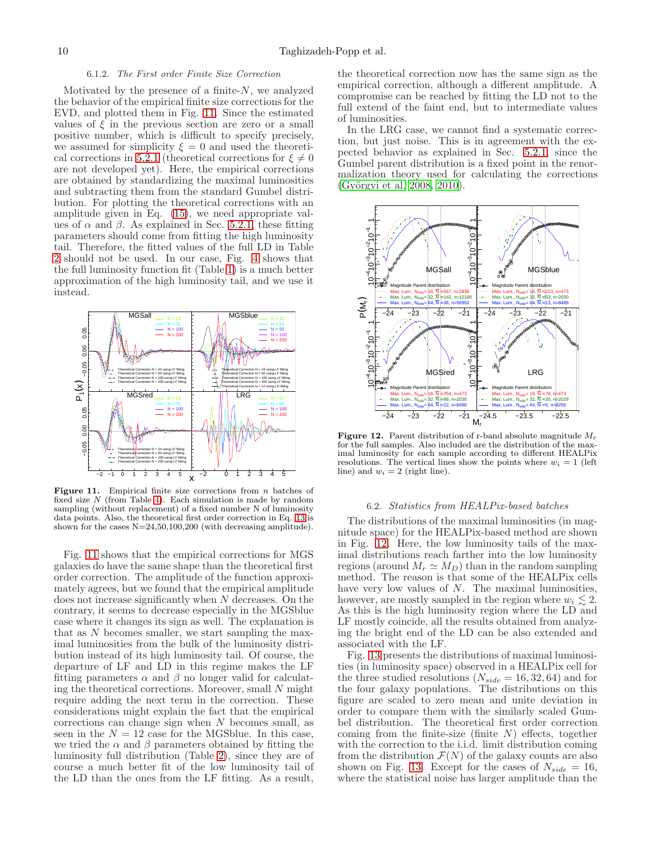#### 6.1.2. The First order Finite Size Correction

<span id="page-9-2"></span>Motivated by the presence of a finite- $N$ , we analyzed the behavior of the empirical finite size corrections for the EVD, and plotted them in Fig. [11.](#page-9-0) Since the estimated values of  $\xi$  in the previous section are zero or a small positive number, which is difficult to specify precisely, we assumed for simplicity  $\xi = 0$  and used the theoreti-cal corrections in [5.2.1](#page-7-2) (theoretical corrections for  $\xi \neq 0$ are not developed yet). Here, the empirical corrections are obtained by standardizing the maximal luminosities and subtracting them from the standard Gumbel distribution. For plotting the theoretical corrections with an amplitude given in Eq. [\(15\)](#page-7-3), we need appropriate values of  $\alpha$  and  $\beta$ . As explained in Sec. [5.2.1,](#page-7-2) these fitting parameters should come from fitting the high luminosity tail. Therefore, the fitted values of the full LD in Table [2](#page-4-3) should not be used. In our case, Fig. [4](#page-4-1) shows that the full luminosity function fit (Table [1\)](#page-4-2) is a much better approximation of the high luminosity tail, and we use it instead.



<span id="page-9-0"></span>Figure 11. Empirical finite size corrections from  $n$  batches of fixed size  $N$  (from Table [4\)](#page-8-2). Each simulation is made by random sampling (without replacement) of a fixed number N of luminosity data points. Also, the theoretical first order correction in Eq. [13](#page-7-4) is shown for the cases N=24,50,100,200 (with decreasing amplitude).

Fig. [11](#page-9-0) shows that the empirical corrections for MGS galaxies do have the same shape than the theoretical first order correction. The amplitude of the function approximately agrees, but we found that the empirical amplitude does not increase significantly when N decreases. On the contrary, it seems to decrease especially in the MGSblue case where it changes its sign as well. The explanation is that as  $N$  becomes smaller, we start sampling the maximal luminosities from the bulk of the luminosity distribution instead of its high luminosity tail. Of course, the departure of LF and LD in this regime makes the LF fitting parameters  $\alpha$  and  $\beta$  no longer valid for calculating the theoretical corrections. Moreover, small  $N$  might require adding the next term in the correction. These considerations might explain the fact that the empirical corrections can change sign when N becomes small, as seen in the  $N = 12$  case for the MGSblue. In this case, we tried the  $\alpha$  and  $\beta$  parameters obtained by fitting the luminosity full distribution (Table [2\)](#page-4-3), since they are of course a much better fit of the low luminosity tail of the LD than the ones from the LF fitting. As a result,

the theoretical correction now has the same sign as the empirical correction, although a different amplitude. A compromise can be reached by fitting the LD not to the full extend of the faint end, but to intermediate values of luminosities.

In the LRG case, we cannot find a systematic correction, but just noise. This is in agreement with the expected behavior as explained in Sec. [5.2.1,](#page-7-2) since the Gumbel parent distribution is a fixed point in the renormalization theory used for calculating the corrections (Györgyi et al. 2008, [2010](#page-11-38)).



<span id="page-9-1"></span>**Figure 12.** Parent distribution of r-band absolute magnitude  $M_r$ for the full samples. Also included are the distribution of the maximal luminosity for each sample according to different HEALPix resolutions. The vertical lines show the points where  $w_i = 1$  (left line) and  $w_i = 2$  (right line).

### 6.2. Statistics from HEALPix-based batches

The distributions of the maximal luminosities (in magnitude space) for the HEALPix-based method are shown in Fig. [12.](#page-9-1) Here, the low luminosity tails of the maximal distributions reach farther into the low luminosity regions (around  $M_r \simeq M_D$ ) than in the random sampling method. The reason is that some of the HEALPix cells have very low values of  $N$ . The maximal luminosities, however, are mostly sampled in the region where  $w_i \leq 2$ . As this is the high luminosity region where the LD and LF mostly coincide, all the results obtained from analyzing the bright end of the LD can be also extended and associated with the LF.

Fig. [13](#page-10-1) presents the distributions of maximal luminosities (in luminosity space) observed in a HEALPix cell for the three studied resolutions  $(N_{side} = 16, 32, 64)$  and for the four galaxy populations. The distributions on this figure are scaled to zero mean and unite deviation in order to compare them with the similarly scaled Gumbel distribution. The theoretical first order correction coming from the finite-size (finite  $N$ ) effects, together with the correction to the i.i.d. limit distribution coming from the distribution  $\mathcal{F}(N)$  of the galaxy counts are also shown on Fig. [13.](#page-10-1) Except for the cases of  $N_{side} = 16$ , where the statistical noise has larger amplitude than the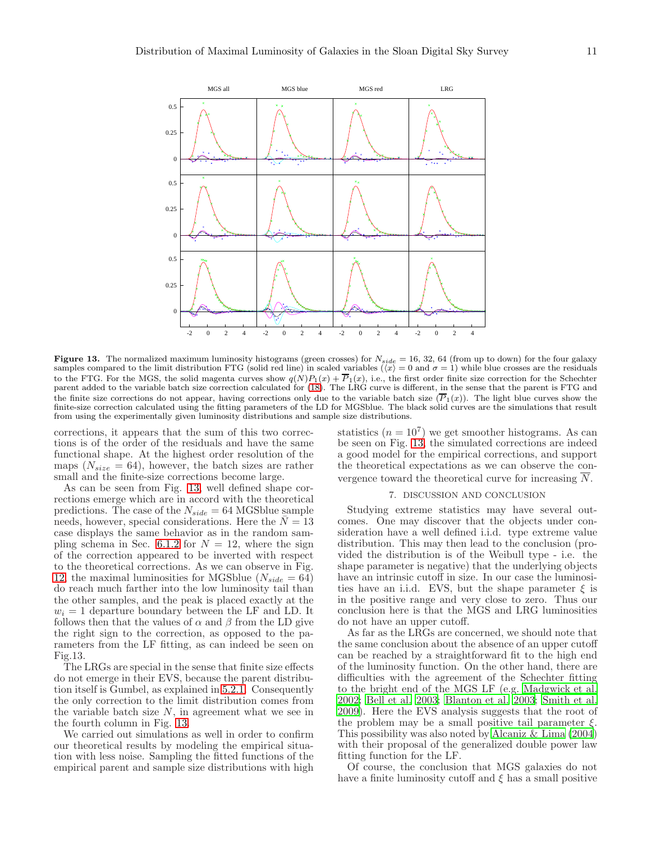

<span id="page-10-1"></span>**Figure 13.** The normalized maximum luminosity histograms (green crosses) for  $N_{side} = 16, 32, 64$  (from up to down) for the four galaxy samples compared to the limit distribution FTG (solid red line) in scaled variables (to the FTG. For the MGS, the solid magenta curves show  $q(N)P_1(x) + \overline{P}_1(x)$ , i.e., the first order finite size correction for the Schechter parent added to the variable batch size correction calculated for [\(18\)](#page-7-1). The LRG curve is different, in the sense that the parent is FTG and the finite size corrections do not appear, having corrections only due to the variable batch size  $(\overline{P}_1(x))$ . The light blue curves show the finite-size correction calculated using the fitting parameters of the LD for MGSblue. The black solid curves are the simulations that result from using the experimentally given luminosity distributions and sample size distributions.

corrections, it appears that the sum of this two corrections is of the order of the residuals and have the same functional shape. At the highest order resolution of the maps  $(N_{size} = 64)$ , however, the batch sizes are rather small and the finite-size corrections become large.

As can be seen from Fig. [13,](#page-10-1) well defined shape corrections emerge which are in accord with the theoretical predictions. The case of the  $N_{side} = 64$  MGSblue sample needs, however, special considerations. Here the  $N = 13$ case displays the same behavior as in the random sam-pling schema in Sec. [6.1.2](#page-9-2) for  $N = 12$ , where the sign of the correction appeared to be inverted with respect to the theoretical corrections. As we can observe in Fig. [12,](#page-9-1) the maximal luminosities for MGSblue ( $N_{side} = 64$ ) do reach much farther into the low luminosity tail than the other samples, and the peak is placed exactly at the  $w_i = 1$  departure boundary between the LF and LD. It follows then that the values of  $\alpha$  and  $\beta$  from the LD give the right sign to the correction, as opposed to the parameters from the LF fitting, as can indeed be seen on Fig.13.

The LRGs are special in the sense that finite size effects do not emerge in their EVS, because the parent distribution itself is Gumbel, as explained in [5.2.1.](#page-7-2) Consequently the only correction to the limit distribution comes from the variable batch size  $N$ , in agreement what we see in the fourth column in Fig. [13.](#page-10-1)

We carried out simulations as well in order to confirm our theoretical results by modeling the empirical situation with less noise. Sampling the fitted functions of the empirical parent and sample size distributions with high

statistics  $(n = 10<sup>7</sup>)$  we get smoother histograms. As can be seen on Fig. [13,](#page-10-1) the simulated corrections are indeed a good model for the empirical corrections, and support the theoretical expectations as we can observe the convergence toward the theoretical curve for increasing  $\overline{N}$ .

### 7. DISCUSSION AND CONCLUSION

<span id="page-10-0"></span>Studying extreme statistics may have several outcomes. One may discover that the objects under consideration have a well defined i.i.d. type extreme value distribution. This may then lead to the conclusion (provided the distribution is of the Weibull type - i.e. the shape parameter is negative) that the underlying objects have an intrinsic cutoff in size. In our case the luminosities have an i.i.d. EVS, but the shape parameter  $\xi$  is in the positive range and very close to zero. Thus our conclusion here is that the MGS and LRG luminosities do not have an upper cutoff.

As far as the LRGs are concerned, we should note that the same conclusion about the absence of an upper cutoff can be reached by a straightforward fit to the high end of the luminosity function. On the other hand, there are difficulties with the agreement of the Schechter fitting to the bright end of the MGS LF (e.g. [Madgwick et al.](#page-11-39) [2002;](#page-11-39) [Bell et al. 2003;](#page-11-40) [Blanton et al. 2003](#page-11-31); [Smith et al.](#page-11-41) [2009\)](#page-11-41). Here the EVS analysis suggests that the root of the problem may be a small positive tail parameter  $\xi$ . This possibility was also noted by Alcaniz  $\&$  Lima (2004) with their proposal of the generalized double power law fitting function for the LF.

Of course, the conclusion that MGS galaxies do not have a finite luminosity cutoff and  $\xi$  has a small positive